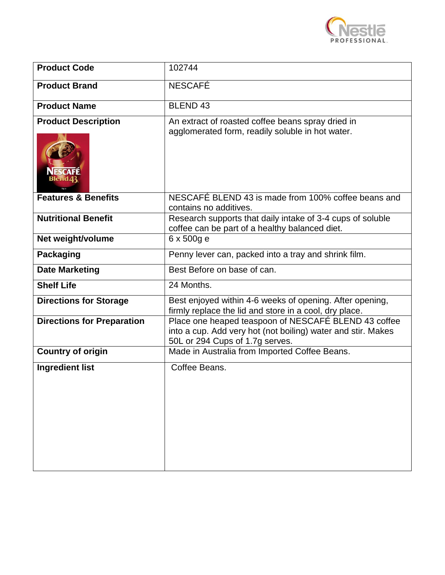

| <b>Product Code</b>               | 102744                                                                                                                                                  |
|-----------------------------------|---------------------------------------------------------------------------------------------------------------------------------------------------------|
| <b>Product Brand</b>              | <b>NESCAFÉ</b>                                                                                                                                          |
| <b>Product Name</b>               | <b>BLEND 43</b>                                                                                                                                         |
| <b>Product Description</b>        | An extract of roasted coffee beans spray dried in<br>agglomerated form, readily soluble in hot water.                                                   |
| <b>Features &amp; Benefits</b>    | NESCAFÉ BLEND 43 is made from 100% coffee beans and<br>contains no additives.                                                                           |
| <b>Nutritional Benefit</b>        | Research supports that daily intake of 3-4 cups of soluble<br>coffee can be part of a healthy balanced diet.                                            |
| Net weight/volume                 | 6 x 500g e                                                                                                                                              |
| <b>Packaging</b>                  | Penny lever can, packed into a tray and shrink film.                                                                                                    |
| <b>Date Marketing</b>             | Best Before on base of can.                                                                                                                             |
| <b>Shelf Life</b>                 | 24 Months.                                                                                                                                              |
| <b>Directions for Storage</b>     | Best enjoyed within 4-6 weeks of opening. After opening,<br>firmly replace the lid and store in a cool, dry place.                                      |
| <b>Directions for Preparation</b> | Place one heaped teaspoon of NESCAFÉ BLEND 43 coffee<br>into a cup. Add very hot (not boiling) water and stir. Makes<br>50L or 294 Cups of 1.7g serves. |
| <b>Country of origin</b>          | Made in Australia from Imported Coffee Beans.                                                                                                           |
| <b>Ingredient list</b>            | Coffee Beans.                                                                                                                                           |